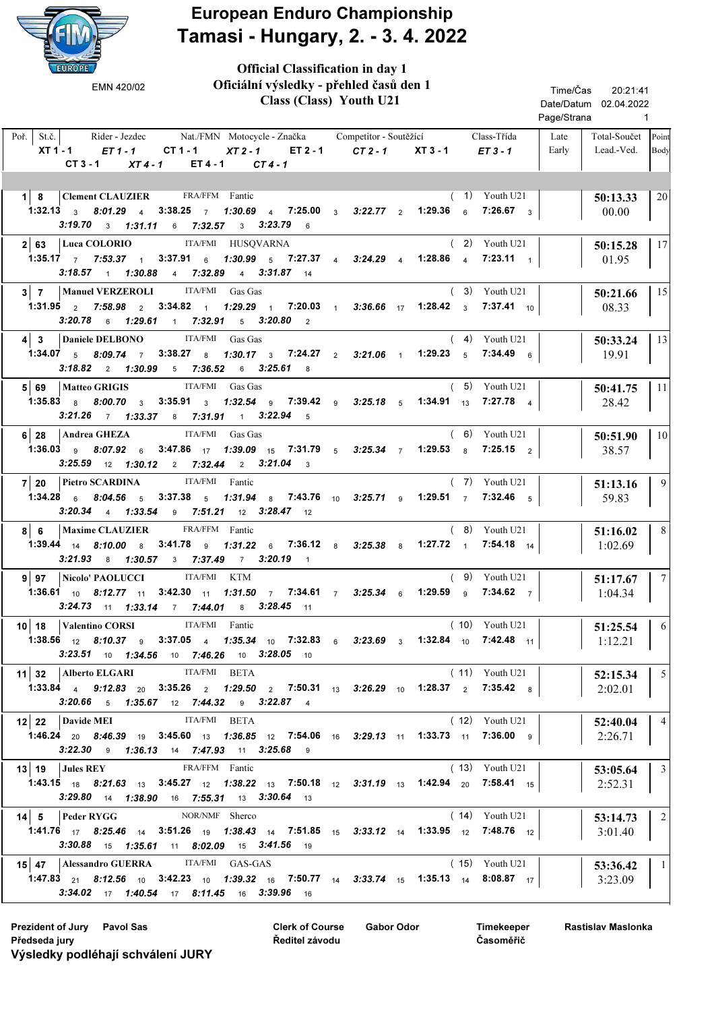

## European Enduro Championship Tamasi - Hungary, 2. - 3. 4. 2022

| <b>EUROPE</b>                                                                                                                                                                                                                                          |                                                                                                     |                            |                        |                                      |                                                  |                            |                |
|--------------------------------------------------------------------------------------------------------------------------------------------------------------------------------------------------------------------------------------------------------|-----------------------------------------------------------------------------------------------------|----------------------------|------------------------|--------------------------------------|--------------------------------------------------|----------------------------|----------------|
| EMN 420/02                                                                                                                                                                                                                                             | Oficiální výsledky - přehled časů den 1<br>Class (Class) Youth U21                                  |                            |                        |                                      | Time/Čas<br>Date/Datum 02.04.2022<br>Page/Strana | 20:21:41<br>$\overline{1}$ |                |
| St.č.<br>Rider - Jezdec<br>Poř.<br>XT 1 - 1<br>$ET1-1$<br>$CT1-1$<br>$CT3 - 1$<br>$XT4-1$                                                                                                                                                              | Nat./FMN Motocycle - Značka Competitor - Soutěžící<br>$XT2-1$<br>ET 2 - 1<br>ET 4 - 1<br>$CT4-1$    | $CT2 - 1$                  | $XT3 - 1$              | Class-Třída<br>$ET3 - 1$             | Late<br>Early                                    | Total-Součet<br>Lead.-Ved. | Point<br>Body  |
| Clement CLAUZIER FRA/FFM Fantic<br>$1 \vert 8$                                                                                                                                                                                                         |                                                                                                     |                            |                        | $(1)$ Youth U21                      |                                                  | 50:13.33                   | 20             |
| 1:32.13 $3$ 8:01.29 $4$<br>$3:38.25$ 7<br>$3:19.70$ 3 $1:31.11$ 6 7:32.57                                                                                                                                                                              | 1:30.69 4 7:25.00 3 3:22.77 2<br>3 3:23.79 6                                                        |                            | 1:29.36 $6$            | $7:26.67$ 3                          |                                                  | 00.00                      |                |
| Luca COLORIO<br><b>ITA/FMI</b><br>2 63<br><b>1:35.17</b> 7 7:53.37 1<br>3:37.91<br>$3:18.57$ 1 1:30.88                                                                                                                                                 | HUSQVARNA<br>1:30.99<br>5 7:27.37 4 3:24.29 4 1:28.86 4<br>$6\phantom{a}$<br>4 7:32.89 4 3:31.87 14 |                            |                        | $(2)$ Youth U21<br>$7:23.11 \t 1$    |                                                  | 50:15.28<br>01.95          | 17             |
| <b>Manuel VERZEROLI</b><br>$3 \mid 7$<br>1:31.95 $\frac{2}{2}$ 7:58.98 $\frac{2}{2}$<br>$3:34.82$ 1<br>3:20.78<br>$6$ 1:29.61<br>1 $7:32.91$                                                                                                           | ITA/FMI Gas Gas<br>$1:29.29$ 1 7:20.03 1 3:36.66 17<br>$5\quad 3:20.80\quad 2$                      |                            | 1:28.42 $3$            | $(3)$ Youth U21<br><b>7:37.41</b> 10 |                                                  | 50:21.66<br>08.33          | 15             |
| Daniele DELBONO<br>$4 \mid 3$<br>$3:38.27$ 8<br>1:34.07 $5$ 8:09.74 7<br>3:18.82<br>2, 1:30.99<br>$5$ 7:36.52                                                                                                                                          | ITA/FMI Gas Gas<br>1:30.17 3 7:24.27 2 3:21.06 1<br>$6$ 3:25.61 $8$                                 |                            | $1:29.23$ 5            | $(4)$ Youth U21<br>$7:34.49$ 6       |                                                  | 50:33.24<br>19.91          | 13             |
| ITA/FMI<br><b>Matteo GRIGIS</b><br>5 69<br>1:35.83 8 8:00.70 3 3:35.91 3 1:32.54 9 7:39.42 9 3:25.18 5<br>$3:21.26$ 7 $1:33.37$ 8 $7:31.91$ 1 $3:22.94$ 5                                                                                              | Gas Gas                                                                                             |                            | <b>1:34.91</b> $_{13}$ | $(5)$ Youth U21<br>$7:27.78$ 4       |                                                  | 50:41.75<br>28.42          | 11             |
| Andrea GHEZA<br>6 28<br>1:36.03 $9$ 8:07.92 $6$<br>$3:25.59$ 12 $1:30.12$ 2 $7:32.44$ 2 $3:21.04$                                                                                                                                                      | ITA/FMI Gas Gas<br>3:47.86 $17$ 1:39.09 $15$ 7:31.79 $5$ 3:25.34 7<br>$\overline{\mathbf{3}}$       |                            | 1:29.53 $8$            | $(6)$ Youth U21<br>$7:25.15$ 2       |                                                  | 50:51.90<br>38.57          | 10             |
| <b>Pietro SCARDINA</b><br>7 20<br>1:34.28 $6$ 8:04.56 $5$<br>$3:37.38$ 5<br>$3:20.34$ 4 1:33.54                                                                                                                                                        | ITA/FMI Fantic<br>1:31.94 8 7:43.76 10 3:25.71 9<br>9 7:51.21 12 3:28.47 12                         |                            | 1:29.51 $\frac{1}{7}$  | $(7)$ Youth U21<br>$7:32.46$ 5       |                                                  | 51:13.16<br>59.83          | 9              |
| <b>Maxime CLAUZIER</b><br>6<br>8  <br>1:39.44 $14$<br>$8:10.00$ 8<br>$3:41.78$ 9<br>$3:21.93$ 8 $1:30.57$ 3 $7:37.49$ 7 $3:20.19$                                                                                                                      | FRA/FFM Fantic<br>$1:31.22$ 6<br>$\overline{1}$                                                     | <b>7:36.12</b> 8 3:25.38 8 | 1:27.72 $1$            | $(8)$ Youth U21<br>7:54.18 $14$      |                                                  | 51:16.02<br>1:02.69        | 8              |
| ITA/FMI<br>Nicolo' PAOLUCCI<br>9 97<br><b>1:36.61</b> 10 8:12.77 11 3:42.30 11 1:31.50 7 7:34.61 7 3:25.34 6<br>3:24.73 11 1:33.14 7 7:44.01 8 3:28.45 11                                                                                              | KTM                                                                                                 |                            | 1:29.59 $9^{\circ}$    | $(9)$ Youth U21<br>$7:34.62$ 7       |                                                  | 51:17.67<br>1:04.34        | 7              |
| ITA/FMI Fantic<br>10   18   Valentino CORSI<br><b>1:38.56</b> $\begin{matrix} 12 & 8.10.37 & 9 & 3.37.05 & 4 & 1.35.34 & 10 & 7.32.83 & 6 & 3.23.69 & 3 & 1.32.84 & 10 & 7.42.48 & 11 \end{matrix}$<br>$3:23.51$ 10 $1:34.56$ 10 7:46.26 10 3:28.05 10 |                                                                                                     |                            |                        | $(10)$ Youth U21                     |                                                  | 51:25.54<br>1:12.21        | -61            |
| 11 32   Alberto ELGARI ITA/FMI BETA<br><b>1:33.84</b> 4 <b>9:12.83</b> 20 <b>3:35.26</b> 2 <b>1:29.50</b> 2 <b>7:50.31</b> 13 <b>3:26.29</b> 10 <b>1:28.37</b> 2 <b>7:35.42</b> 8<br>3:20.66 5 1:35.67 12 7:44.32 9 3:22.87 4                          |                                                                                                     |                            |                        | $(11)$ Youth U21                     |                                                  | 52:15.34<br>2:02.01        | 5 <sup>5</sup> |
| 12 22 Davide MEI<br><b>1:46.24</b> 20 8:46.39 19 3:45.60 13 1:36.85 12 7:54.06 16 3:29.13 11 1:33.73 11 7:36.00 9<br>3:22.30 9 1:36.13 14 7:47.93 11 3:25.68 9                                                                                         | ITA/FMI BETA                                                                                        |                            |                        | $(12)$ Youth U21                     |                                                  | 52:40.04<br>2:26.71        | $\overline{4}$ |
| $13$   19   Jules REY<br><b>1:43.15</b> 18 8:21.63 13 3:45.27 12 1:38.22 13 7:50.18 12 3:31.19 13 1:42.94 20 7:58.41 15<br>3:29.80 14 1:38.90 16 7:55.31 13 3:30.64 13                                                                                 | FRA/FFM Fantic                                                                                      |                            |                        | $(13)$ Youth U21                     |                                                  | 53:05.64<br>2:52.31        | $\vert$ 3      |
| $ 14 $ 5   Peder RYGG<br><b>1:41.76</b> $_{17}$ 8:25.46 $_{14}$ 3:51.26 $_{19}$ 1:38.43 $_{14}$ 7:51.85 $_{15}$ 3:33.12 $_{14}$ 1:33.95 $_{12}$ 7:48.76 $_{12}$<br>3:30.88 15 1:35.61 11 8:02.09 15 3:41.56 19                                         | NOR/NMF Sherco                                                                                      |                            |                        | $(14)$ Youth U21                     |                                                  | 53:14.73<br>3:01.40        | $\overline{2}$ |
| 15 47 Alessandro GUERRA ITA/FMI GAS-GAS<br><b>1:47.83</b> 21 8:12.56 10 3:42.23 10 1:39.32 16 7:50.77 14 3:33.74 15 1:35.13 14 8:08.87 17<br><b>3:34.02</b> 17 <b>1:40.54</b> 17 <b>8:11.45</b> 16 <b>3:39.96</b> 16                                   |                                                                                                     |                            |                        | $(15)$ Youth U21                     |                                                  | 53:36.42<br>3:23.09        | $\overline{1}$ |

Prezident of Jury Pavol Sas Gabor Odor Clerk of Course Gabor Odor Předseda jury Výsledky podléhají schválení JURY

Clerk of Course Ředitel závodu

Timekeeper Časoměřič